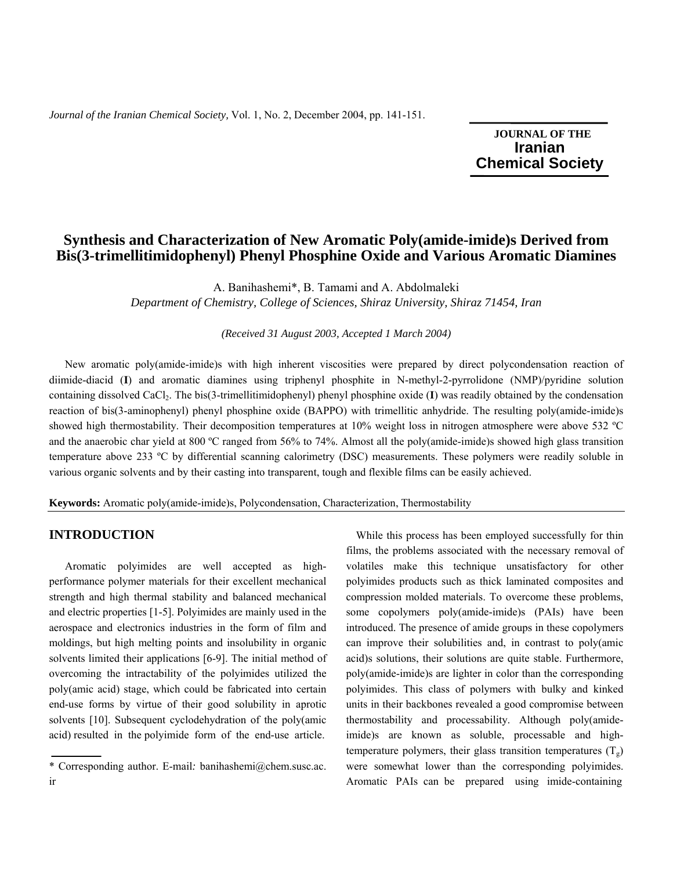*Journal of the Iranian Chemical Society,* Vol. 1, No. 2, December 2004, pp. 141-151.

 **JOURNAL OF THE**  **Iranian** **Chemical Society**

# **Synthesis and Characterization of New Aromatic Poly(amide-imide)s Derived from Bis(3-trimellitimidophenyl) Phenyl Phosphine Oxide and Various Aromatic Diamines**

A. Banihashemi\*, B. Tamami and A. Abdolmaleki *Department of Chemistry, College of Sciences, Shiraz University, Shiraz 71454, Iran* 

*(Received 31 August 2003, Accepted 1 March 2004)* 

 New aromatic poly(amide-imide)s with high inherent viscosities were prepared by direct polycondensation reaction of diimide-diacid (**I**) and aromatic diamines using triphenyl phosphite in N-methyl-2-pyrrolidone (NMP)/pyridine solution containing dissolved CaCl2. The bis(3-trimellitimidophenyl) phenyl phosphine oxide (**I**) was readily obtained by the condensation reaction of bis(3-aminophenyl) phenyl phosphine oxide (BAPPO) with trimellitic anhydride. The resulting poly(amide-imide)s showed high thermostability. Their decomposition temperatures at 10% weight loss in nitrogen atmosphere were above 532 ºC and the anaerobic char yield at 800 ºC ranged from 56% to 74%. Almost all the poly(amide-imide)s showed high glass transition temperature above 233 ºC by differential scanning calorimetry (DSC) measurements. These polymers were readily soluble in various organic solvents and by their casting into transparent, tough and flexible films can be easily achieved.

**Keywords:** Aromatic poly(amide-imide)s, Polycondensation, Characterization, Thermostability

## **INTRODUCTION**

 Aromatic polyimides are well accepted as highperformance polymer materials for their excellent mechanical strength and high thermal stability and balanced mechanical and electric properties [1-5]. Polyimides are mainly used in the aerospace and electronics industries in the form of film and moldings, but high melting points and insolubility in organic solvents limited their applications [6-9]. The initial method of overcoming the intractability of the polyimides utilized the poly(amic acid) stage, which could be fabricated into certain end-use forms by virtue of their good solubility in aprotic solvents [10]. Subsequent cyclodehydration of the poly(amic acid) resulted in the polyimide form of the end-use article.

 While this process has been employed successfully for thin films, the problems associated with the necessary removal of volatiles make this technique unsatisfactory for other polyimides products such as thick laminated composites and compression molded materials. To overcome these problems, some copolymers poly(amide-imide)s (PAIs) have been introduced. The presence of amide groups in these copolymers can improve their solubilities and, in contrast to poly(amic acid)s solutions, their solutions are quite stable. Furthermore, poly(amide-imide)s are lighter in color than the corresponding polyimides. This class of polymers with bulky and kinked units in their backbones revealed a good compromise between thermostability and processability. Although poly(amideimide)s are known as soluble, processable and hightemperature polymers, their glass transition temperatures  $(T_g)$ were somewhat lower than the corresponding polyimides. Aromatic PAIs can be prepared using imide-containing

<sup>\*</sup> Corresponding author. E-mail*:* banihashemi@chem.susc.ac. ir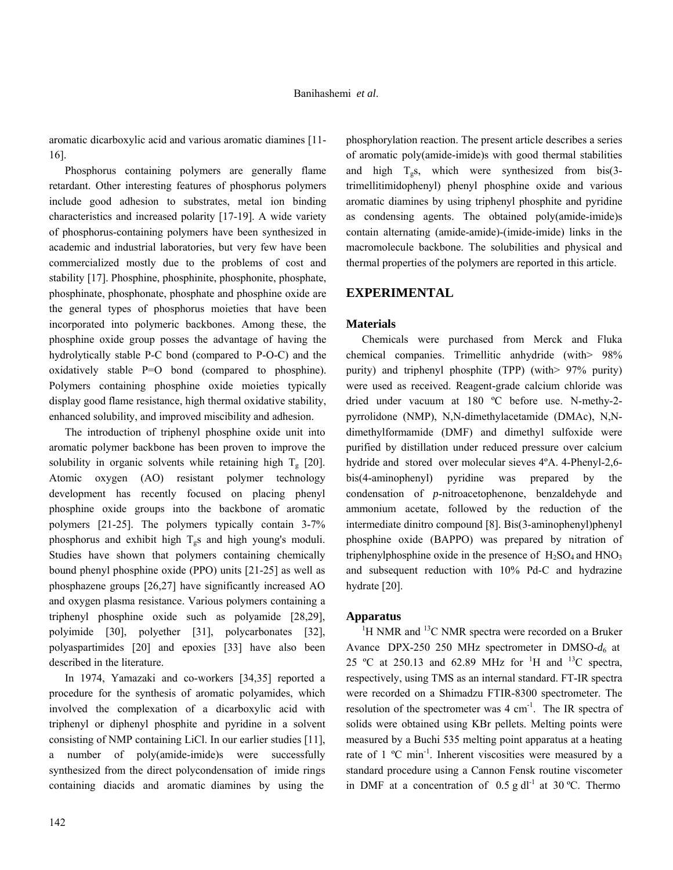aromatic dicarboxylic acid and various aromatic diamines [11- 16].

 Phosphorus containing polymers are generally flame retardant. Other interesting features of phosphorus polymers include good adhesion to substrates, metal ion binding characteristics and increased polarity [17-19]. A wide variety of phosphorus-containing polymers have been synthesized in academic and industrial laboratories, but very few have been commercialized mostly due to the problems of cost and stability [17]. Phosphine, phosphinite, phosphonite, phosphate, phosphinate, phosphonate, phosphate and phosphine oxide are the general types of phosphorus moieties that have been incorporated into polymeric backbones. Among these, the phosphine oxide group posses the advantage of having the hydrolytically stable P-C bond (compared to P-O-C) and the oxidatively stable P=O bond (compared to phosphine). Polymers containing phosphine oxide moieties typically display good flame resistance, high thermal oxidative stability, enhanced solubility, and improved miscibility and adhesion.

 The introduction of triphenyl phosphine oxide unit into aromatic polymer backbone has been proven to improve the solubility in organic solvents while retaining high  $T_g$  [20]. Atomic oxygen (AO) resistant polymer technology development has recently focused on placing phenyl phosphine oxide groups into the backbone of aromatic polymers [21-25]. The polymers typically contain 3-7% phosphorus and exhibit high  $T<sub>g</sub>$ s and high young's moduli. Studies have shown that polymers containing chemically bound phenyl phosphine oxide (PPO) units [21-25] as well as phosphazene groups [26,27] have significantly increased AO and oxygen plasma resistance. Various polymers containing a triphenyl phosphine oxide such as polyamide [28,29], polyimide [30], polyether [31], polycarbonates [32], polyaspartimides [20] and epoxies [33] have also been described in the literature.

 In 1974, Yamazaki and co-workers [34,35] reported a procedure for the synthesis of aromatic polyamides, which involved the complexation of a dicarboxylic acid with triphenyl or diphenyl phosphite and pyridine in a solvent consisting of NMP containing LiCl. In our earlier studies [11], a number of poly(amide-imide)s were successfully synthesized from the direct polycondensation of imide rings containing diacids and aromatic diamines by using the

phosphorylation reaction. The present article describes a series of aromatic poly(amide-imide)s with good thermal stabilities and high  $T_{\sigma}$ s, which were synthesized from bis(3trimellitimidophenyl) phenyl phosphine oxide and various aromatic diamines by using triphenyl phosphite and pyridine as condensing agents. The obtained poly(amide-imide)s contain alternating (amide-amide)-(imide-imide) links in the macromolecule backbone. The solubilities and physical and thermal properties of the polymers are reported in this article.

## **EXPERIMENTAL**

## **Materials**

 Chemicals were purchased from Merck and Fluka chemical companies. Trimellitic anhydride (with> 98% purity) and triphenyl phosphite (TPP) (with> 97% purity) were used as received. Reagent-grade calcium chloride was dried under vacuum at 180 ºC before use. N-methy-2 pyrrolidone (NMP), N,N-dimethylacetamide (DMAc), N,Ndimethylformamide (DMF) and dimethyl sulfoxide were purified by distillation under reduced pressure over calcium hydride and stored over molecular sieves 4ºA. 4-Phenyl-2,6 bis(4-aminophenyl) pyridine was prepared by the condensation of *p*-nitroacetophenone, benzaldehyde and ammonium acetate, followed by the reduction of the intermediate dinitro compound [8]. Bis(3-aminophenyl)phenyl phosphine oxide (BAPPO) was prepared by nitration of triphenylphosphine oxide in the presence of  $H_2SO_4$  and  $HNO_3$ and subsequent reduction with 10% Pd-C and hydrazine hydrate [20].

## **Apparatus**

 $1$ <sup>1</sup>H NMR and  $13$ C NMR spectra were recorded on a Bruker Avance DPX-250 250 MHz spectrometer in DMSO- $d_6$  at 25 °C at 250.13 and 62.89 MHz for <sup>1</sup>H and <sup>13</sup>C spectra, respectively, using TMS as an internal standard. FT-IR spectra were recorded on a Shimadzu FTIR-8300 spectrometer. The resolution of the spectrometer was  $4 \text{ cm}^{-1}$ . The IR spectra of solids were obtained using KBr pellets. Melting points were measured by a Buchi 535 melting point apparatus at a heating rate of 1 °C min<sup>-1</sup>. Inherent viscosities were measured by a standard procedure using a Cannon Fensk routine viscometer in DMF at a concentration of  $0.5$  g dl<sup>-1</sup> at  $30$  °C. Thermo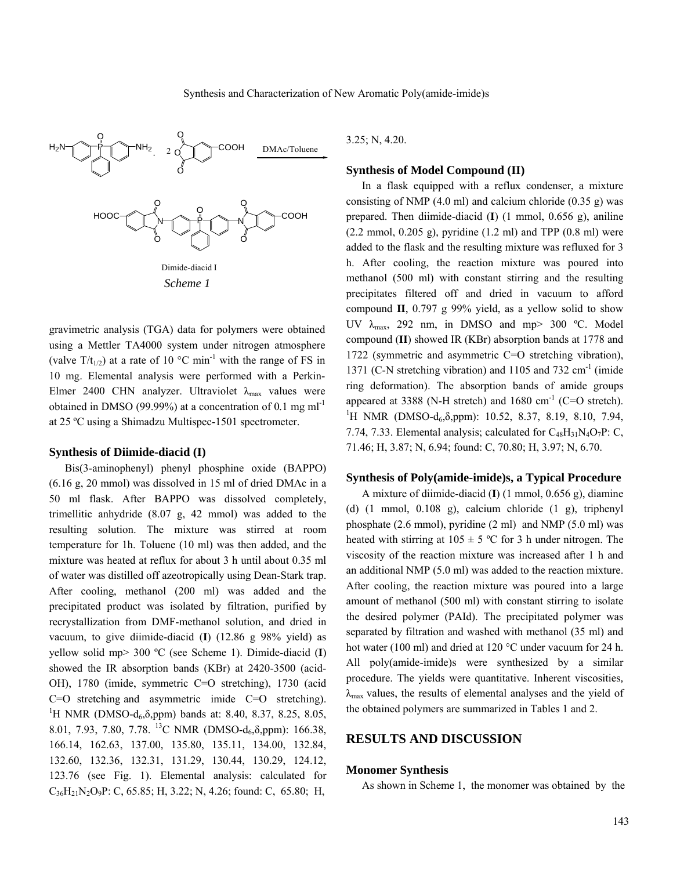

gravimetric analysis (TGA) data for polymers were obtained using a Mettler TA4000 system under nitrogen atmosphere (valve  $T/t_{1/2}$ ) at a rate of 10 °C min<sup>-1</sup> with the range of FS in 10 mg. Elemental analysis were performed with a Perkin-Elmer 2400 CHN analyzer. Ultraviolet  $\lambda_{\text{max}}$  values were obtained in DMSO (99.99%) at a concentration of 0*.*1 mg ml-1 at 25 ºC using a Shimadzu Multispec-1501 spectrometer.

### **Synthesis of Diimide-diacid (I)**

 Bis(3-aminophenyl) phenyl phosphine oxide (BAPPO) (6.16 g, 20 mmol) was dissolved in 15 ml of dried DMAc in a 50 ml flask. After BAPPO was dissolved completely, trimellitic anhydride (8.07 g, 42 mmol) was added to the resulting solution. The mixture was stirred at room temperature for 1h. Toluene (10 ml) was then added, and the mixture was heated at reflux for about 3 h until about 0.35 ml of water was distilled off azeotropically using Dean-Stark trap. After cooling, methanol (200 ml) was added and the precipitated product was isolated by filtration, purified by recrystallization from DMF-methanol solution, and dried in vacuum, to give diimide-diacid (**I**) (12.86 g 98% yield) as yellow solid mp> 300 ºC (see Scheme 1). Dimide-diacid (**I**) showed the IR absorption bands (KBr) at 2420-3500 (acid-OH), 1780 (imide, symmetric C=O stretching), 1730 (acid  $C=O$  stretching and asymmetric imide  $C=O$  stretching). <sup>1</sup>H NMR (DMSO-d<sub>6</sub>, $\delta$ ,ppm) bands at: 8.40, 8.37, 8.25, 8.05, 8.01, 7.93, 7.80, 7.78. <sup>13</sup>C NMR (DMSO-d<sub>6</sub>, $\delta$ ,ppm): 166.38, 166.14, 162.63, 137.00, 135.80, 135.11, 134.00, 132.84, 132.60, 132.36, 132.31, 131.29, 130.44, 130.29, 124.12, 123.76 (see Fig. 1). Elemental analysis: calculated for  $C_{36}H_{21}N_2O_9P$ : C, 65.85; H, 3.22; N, 4.26; found: C, 65.80; H,

3.25; N, 4.20.

### **Synthesis of Model Compound (II)**

 In a flask equipped with a reflux condenser, a mixture consisting of NMP  $(4.0 \text{ ml})$  and calcium chloride  $(0.35 \text{ g})$  was prepared. Then diimide-diacid (**I**) (1 mmol, 0.656 g), aniline  $(2.2 \text{ mmol}, 0.205 \text{ g})$ , pyridine  $(1.2 \text{ ml})$  and TPP  $(0.8 \text{ ml})$  were added to the flask and the resulting mixture was refluxed for 3 h. After cooling, the reaction mixture was poured into methanol (500 ml) with constant stirring and the resulting precipitates filtered off and dried in vacuum to afford compound **II**, 0.797 g 99% yield, as a yellow solid to show UV λmax, 292 nm, in DMSO and mp> 300 ºC. Model compound (**II**) showed IR (KBr) absorption bands at 1778 and 1722 (symmetric and asymmetric C=O stretching vibration), 1371 (C-N stretching vibration) and 1105 and 732  $\text{cm}^{-1}$  (imide ring deformation). The absorption bands of amide groups appeared at 3388 (N-H stretch) and 1680 cm<sup>-1</sup> (C=O stretch). <sup>1</sup>H NMR (DMSO-d<sub>6</sub>, $\delta$ ,ppm): 10.52, 8.37, 8.19, 8.10, 7.94, 7.74, 7.33. Elemental analysis; calculated for  $C_{48}H_{31}N_4O_7P$ : C, 71.46; H, 3.87; N, 6.94; found: C, 70.80; H, 3.97; N, 6.70.

#### **Synthesis of Poly(amide-imide)s, a Typical Procedure**

 A mixture of diimide-diacid (**I**) (1 mmol, 0.656 g), diamine (d) (1 mmol, 0.108 g), calcium chloride (1 g), triphenyl phosphate (2.6 mmol), pyridine (2 ml) and NMP (5.0 ml) was heated with stirring at  $105 \pm 5$  °C for 3 h under nitrogen. The viscosity of the reaction mixture was increased after 1 h and an additional NMP (5.0 ml) was added to the reaction mixture. After cooling, the reaction mixture was poured into a large amount of methanol (500 ml) with constant stirring to isolate the desired polymer (PAId). The precipitated polymer was separated by filtration and washed with methanol (35 ml) and hot water (100 ml) and dried at 120 °C under vacuum for 24 h. All poly(amide-imide)s were synthesized by a similar procedure. The yields were quantitative. Inherent viscosities*,*   $\lambda_{\text{max}}$  values, the results of elemental analyses and the yield of the obtained polymers are summarized in Tables 1 and 2.

## **RESULTS AND DISCUSSION**

#### **Monomer Synthesis**

As shown in Scheme 1, the monomer was obtained by the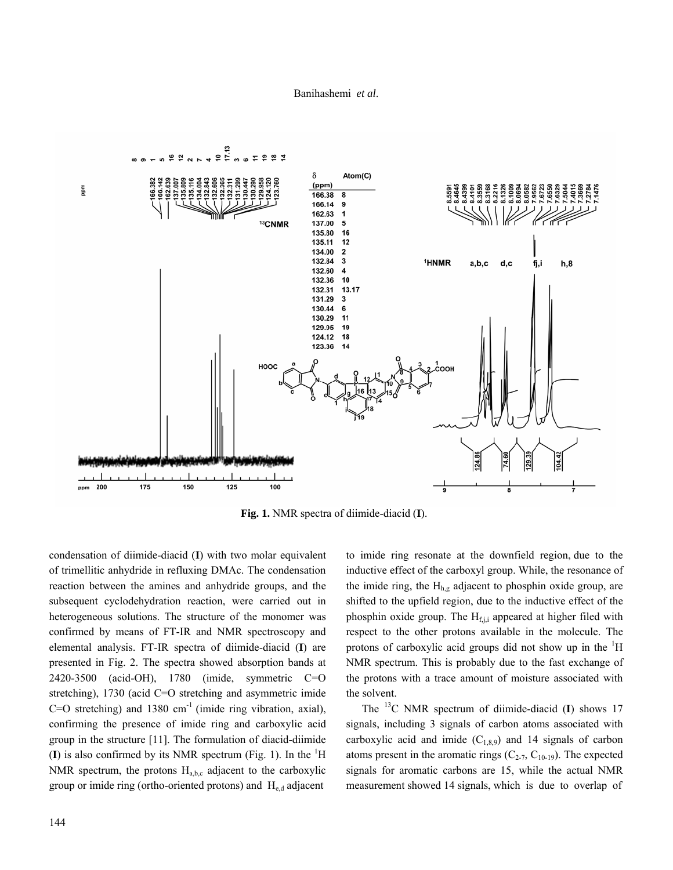

**Fig. 1.** NMR spectra of diimide-diacid (**I**).

condensation of diimide-diacid (**I**) with two molar equivalent of trimellitic anhydride in refluxing DMAc. The condensation reaction between the amines and anhydride groups, and the subsequent cyclodehydration reaction, were carried out in heterogeneous solutions. The structure of the monomer was confirmed by means of FT-IR and NMR spectroscopy and elemental analysis. FT-IR spectra of diimide-diacid (**I**) are presented in Fig. 2. The spectra showed absorption bands at 2420-3500 (acid-OH), 1780 (imide, symmetric C=O stretching), 1730 (acid C=O stretching and asymmetric imide  $C=O$  stretching) and 1380 cm<sup>-1</sup> (imide ring vibration, axial), confirming the presence of imide ring and carboxylic acid group in the structure [11]. The formulation of diacid-diimide  $(I)$  is also confirmed by its NMR spectrum (Fig. 1). In the  ${}^{1}H$ NMR spectrum, the protons  $H_{abc}$  adjacent to the carboxylic group or imide ring (ortho-oriented protons) and  $H_{e,d}$  adjacent

to imide ring resonate at the downfield region, due to the inductive effect of the carboxyl group. While, the resonance of the imide ring, the  $H_{h,g}$  adjacent to phosphin oxide group, are shifted to the upfield region, due to the inductive effect of the phosphin oxide group. The  $H<sub>f,j,i</sub>$  appeared at higher filed with respect to the other protons available in the molecule. The protons of carboxylic acid groups did not show up in the  ${}^{1}H$ NMR spectrum. This is probably due to the fast exchange of the protons with a trace amount of moisture associated with the solvent.

 The 13C NMR spectrum of diimide-diacid (**I**) shows 17 signals, including 3 signals of carbon atoms associated with carboxylic acid and imide  $(C_{1,8,9})$  and 14 signals of carbon atoms present in the aromatic rings  $(C_{2-7}, C_{10-19})$ . The expected signals for aromatic carbons are 15, while the actual NMR measurement showed 14 signals, which is due to overlap of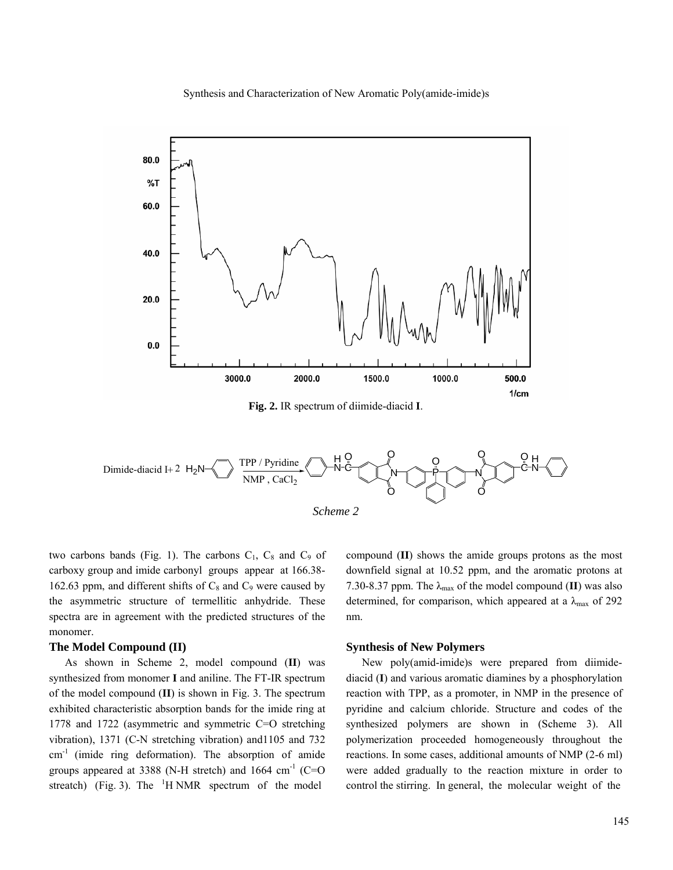Synthesis and Characterization of New Aromatic Poly(amide-imide)s



**Fig. 2.** IR spectrum of diimide-diacid **I**.





two carbons bands (Fig. 1). The carbons  $C_1$ ,  $C_8$  and  $C_9$  of carboxy group and imide carbonyl groups appear at 166.38- 162.63 ppm, and different shifts of  $C_8$  and  $C_9$  were caused by the asymmetric structure of termellitic anhydride. These spectra are in agreement with the predicted structures of the monomer.

## **The Model Compound (II)**

 As shown in Scheme 2, model compound (**II**) was synthesized from monomer **I** and aniline. The FT-IR spectrum of the model compound (**II**) is shown in Fig. 3. The spectrum exhibited characteristic absorption bands for the imide ring at 1778 and 1722 (asymmetric and symmetric C=O stretching vibration), 1371 (C-N stretching vibration) and1105 and 732 cm-1 (imide ring deformation). The absorption of amide groups appeared at 3388 (N-H stretch) and 1664 cm<sup>-1</sup> (C=O streatch) (Fig. 3). The  $1$ H NMR spectrum of the model

compound (**II**) shows the amide groups protons as the most downfield signal at 10.52 ppm, and the aromatic protons at 7.30-8.37 ppm. The  $\lambda_{\text{max}}$  of the model compound (II) was also determined, for comparison, which appeared at a  $\lambda_{\text{max}}$  of 292 nm.

## **Synthesis of New Polymers**

 New poly(amid-imide)s were prepared from diimidediacid (**I**) and various aromatic diamines by a phosphorylation reaction with TPP, as a promoter, in NMP in the presence of pyridine and calcium chloride. Structure and codes of the synthesized polymers are shown in (Scheme 3). All polymerization proceeded homogeneously throughout the reactions. In some cases, additional amounts of NMP (2-6 ml) were added gradually to the reaction mixture in order to control the stirring. In general, the molecular weight of the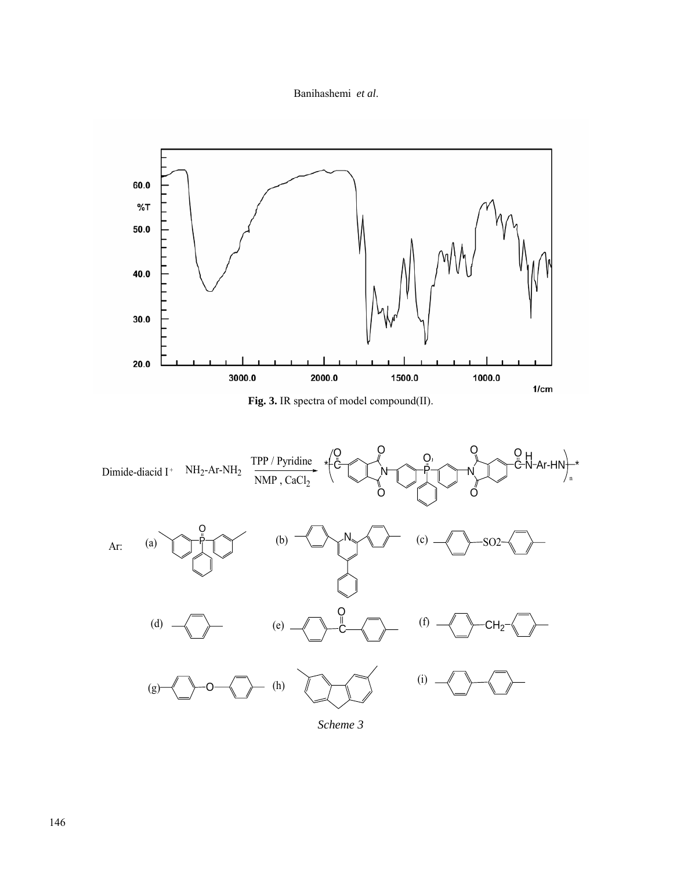



**Fig. 3.** IR spectra of model compound(II).



*Scheme 3*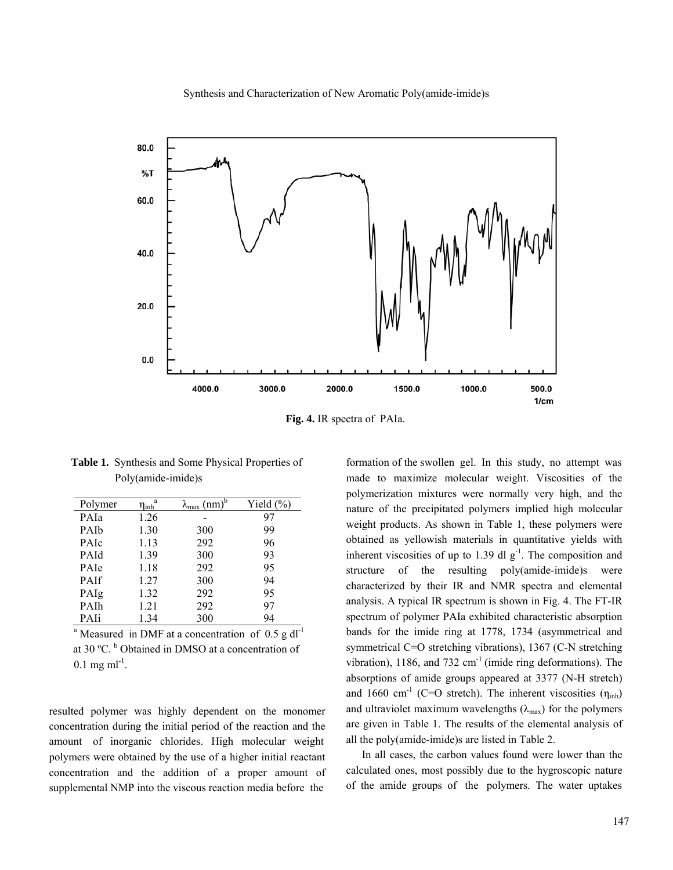Synthesis and Characterization of New Aromatic Poly(amide-imide)s



**Fig. 4.** IR spectra of PAIa.

| <b>Table 1.</b> Synthesis and Some Physical Properties of |
|-----------------------------------------------------------|
| Poly(amide-imide)s                                        |

| Polymer     | a<br>$\eta_{\rm inh}$ | $(mm)^b$<br>$\lambda_{\text{max}}$ | Yield $(\% )$ |
|-------------|-----------------------|------------------------------------|---------------|
| PAIa        | 1.26                  |                                    | 97            |
| PAIb        | 1.30                  | 300                                | 99            |
| <b>PAIC</b> | 1.13                  | 292                                | 96            |
| PAId        | 1.39                  | 300                                | 93            |
| PAIe        | 1.18                  | 292                                | 95            |
| <b>PAIf</b> | 1.27                  | 300                                | 94            |
| PAIg        | 1.32                  | 292                                | 95            |
| PAIh        | 1.21                  | 292                                | 97            |
| PAIi        | 1.34                  | 300                                | 94            |

<sup>a</sup> Measured in DMF at a concentration of 0.5 g dl<sup>-1</sup> at 30 °C. <sup>b</sup> Obtained in DMSO at a concentration of  $0.1$  mg ml<sup>-1</sup>.

resulted polymer was highly dependent on the monomer concentration during the initial period of the reaction and the amount of inorganic chlorides. High molecular weight polymers were obtained by the use of a higher initial reactant concentration and the addition of a proper amount of supplemental NMP into the viscous reaction media before the

formation of the swollen gel. In this study, no attempt was made to maximize molecular weight. Viscosities of the polymerization mixtures were normally very high, and the nature of the precipitated polymers implied high molecular weight products. As shown in Table 1, these polymers were obtained as yellowish materials in quantitative yields with inherent viscosities of up to 1.39 dl  $g^{-1}$ . The composition and structure of the resulting poly(amide-imide)s were characterized by their IR and NMR spectra and elemental analysis. A typical IR spectrum is shown in Fig. 4. The FT-IR spectrum of polymer PAIa exhibited characteristic absorption bands for the imide ring at 1778, 1734 (asymmetrical and symmetrical C=O stretching vibrations), 1367 (C-N stretching vibration),  $1186$ , and  $732 \text{ cm}^{-1}$  (imide ring deformations). The absorptions of amide groups appeared at 3377 (N-H stretch) and 1660 cm<sup>-1</sup> (C=O stretch). The inherent viscosities ( $\eta_{inh}$ ) and ultraviolet maximum wavelengths  $(\lambda_{\text{max}})$  for the polymers are given in Table 1. The results of the elemental analysis of all the poly(amide-imide)s are listed in Table 2.

 In all cases, the carbon values found were lower than the calculated ones, most possibly due to the hygroscopic nature of the amide groups of the polymers. The water uptakes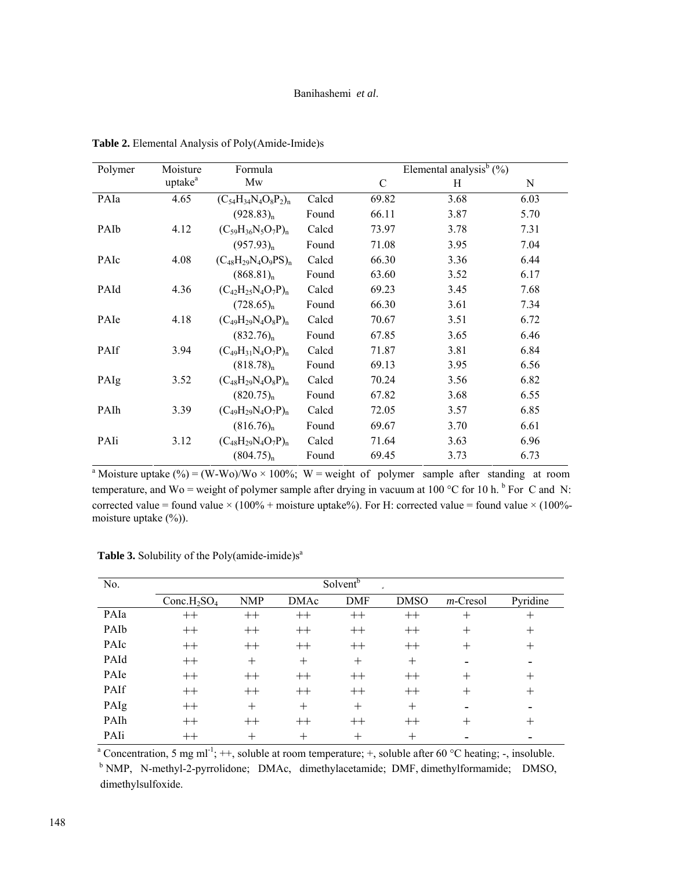## Banihashemi *et al*.

| Polymer          | Moisture            | Formula                     | Elemental analysis <sup>b</sup> $(\% )$ |       |      |      |
|------------------|---------------------|-----------------------------|-----------------------------------------|-------|------|------|
|                  | uptake <sup>a</sup> | Mw                          |                                         | C     | Η    | N    |
| PAIa             | 4.65                | $(C_{54}H_{34}N_4O_8P_2)_n$ | Calcd                                   | 69.82 | 3.68 | 6.03 |
|                  |                     | $(928.83)_{n}$              | Found                                   | 66.11 | 3.87 | 5.70 |
| PAI <sub>b</sub> | 4.12                | $(C_{59}H_{36}N_5O_7P)_n$   | Calcd                                   | 73.97 | 3.78 | 7.31 |
|                  |                     | $(957.93)_{n}$              | Found                                   | 71.08 | 3.95 | 7.04 |
| PAIc             | 4.08                | $(C_{48}H_{29}N_4O_9PS)_n$  | Calcd                                   | 66.30 | 3.36 | 6.44 |
|                  |                     | $(868.81)_{n}$              | Found                                   | 63.60 | 3.52 | 6.17 |
| PAId             | 4.36                | $(C_{42}H_{25}N_4O_7P)_n$   | Calcd                                   | 69.23 | 3.45 | 7.68 |
|                  |                     | $(728.65)_{n}$              | Found                                   | 66.30 | 3.61 | 7.34 |
| PAIe             | 4.18                | $(C_{49}H_{29}N_4O_8P)_n$   | Calcd                                   | 70.67 | 3.51 | 6.72 |
|                  |                     | $(832.76)_{n}$              | Found                                   | 67.85 | 3.65 | 6.46 |
| <b>PAIf</b>      | 3.94                | $(C_{49}H_{31}N_4O_7P)_n$   | Calcd                                   | 71.87 | 3.81 | 6.84 |
|                  |                     | $(818.78)_{n}$              | Found                                   | 69.13 | 3.95 | 6.56 |
| PAIg             | 3.52                | $(C_{48}H_{29}N_4O_8P)_n$   | Calcd                                   | 70.24 | 3.56 | 6.82 |
|                  |                     | $(820.75)_{n}$              | Found                                   | 67.82 | 3.68 | 6.55 |
| PAIh             | 3.39                | $(C_{49}H_{29}N_4O_7P)_n$   | Calcd                                   | 72.05 | 3.57 | 6.85 |
|                  |                     | $(816.76)_{n}$              | Found                                   | 69.67 | 3.70 | 6.61 |
| PAIi             | 3.12                | $(C_{48}H_{29}N_4O_7P)_n$   | Calcd                                   | 71.64 | 3.63 | 6.96 |
|                  |                     | $(804.75)_{n}$              | Found                                   | 69.45 | 3.73 | 6.73 |

 **Table 2.** Elemental Analysis of Poly(Amide-Imide)s

<sup>a</sup> Moisture uptake (%) = (W-Wo)/Wo × 100%; W = weight of polymer sample after standing at room temperature, and Wo = weight of polymer sample after drying in vacuum at 100 °C for 10 h.  $\rm{^b}$  For C and N: corrected value = found value  $\times (100\% + \text{moisture uptake}\%)$ . For H: corrected value = found value  $\times (100\% - \text{moisture}$ moisture uptake (%)).

| No.  | Solvent <sup>b</sup><br>$\sigma$ |            |             |         |                    |             |          |
|------|----------------------------------|------------|-------------|---------|--------------------|-------------|----------|
|      | Conc. $H_2SO_4$                  | <b>NMP</b> | <b>DMAc</b> | DMF     | <b>DMSO</b>        | $m$ -Cresol | Pyridine |
| PAIa | $^{++}$                          | $^{++}$    | $++$        | $^{++}$ | $++$               |             | ┿        |
| PAIb | $^{++}$                          | $++$       | $^{++}$     | $++$    | $++$               | $^+$        | $^+$     |
| PAIc | $++$                             | $^{++}$    | $^{++}$     | $++$    | $^{++}$            |             | +        |
| PAId | $++$                             | $^{+}$     | $^{+}$      | $^{+}$  | $^{+}$             |             |          |
| PAIe | $++$                             | $^{++}$    | $^{++}$     | $++$    | $^{++}$            |             |          |
| PAIf | $++$                             | $++$       | $^{++}$     | $++$    | $++$               |             | +        |
| PAIg | $^{++}$                          | $^{+}$     | $^{+}$      | $^{+}$  | $\hspace{0.1mm} +$ |             |          |
| PAIh | $++$                             | $^{++}$    | $^{++}$     | $^{++}$ | $^{++}$            |             |          |
| PAIi | $^{\mathrm{++}}$                 | $^{+}$     | $\pm$       | $^+$    | $^+$               |             |          |

**Table 3.** Solubility of the Poly(amide-imide) $s^a$ 

PAIi ++ + + + + - - a Concentration, 5 mg ml-1; ++, soluble at room temperature; +, soluble after 60 °C heating; -, insoluble. b NMP, N-methyl-2-pyrrolidone; DMAc, dimethylacetamide; DMF, dimethylformamide; DMSO, dimethylsulfoxide.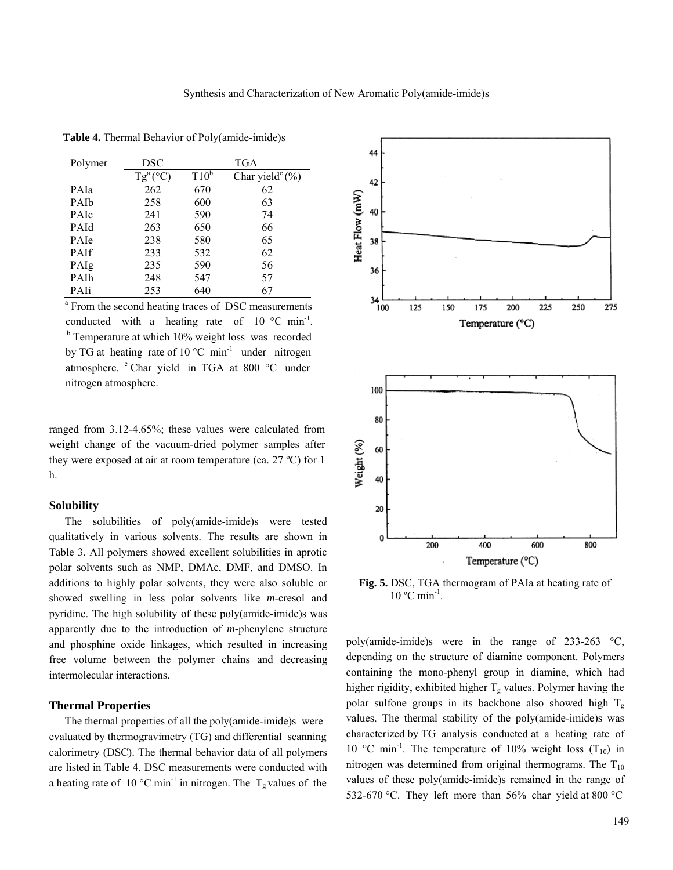| Polymer     | DSC                     | TGA     |                              |  |
|-------------|-------------------------|---------|------------------------------|--|
|             | $Tg^a$<br>$(^{\circ}C)$ | $T10^b$ | Char yield $\mathcal{C}(\%)$ |  |
| PAIa        | 262                     | 670     | 62                           |  |
| PAIb        | 258                     | 600     | 63                           |  |
| PAIc        | 241                     | 590     | 74                           |  |
| PAId        | 263                     | 650     | 66                           |  |
| PAIe        | 238                     | 580     | 65                           |  |
| <b>PAIf</b> | 233                     | 532     | 62                           |  |
| PAIg        | 235                     | 590     | 56                           |  |
| PAIh        | 248                     | 547     | 57                           |  |
| PAIi        | 253                     | 640     | 67                           |  |

 **Table 4.** Thermal Behavior of Poly(amide-imide)s

<sup>a</sup> From the second heating traces of DSC measurements conducted with a heating rate of  $10^{\circ}$ C min<sup>-1</sup>.<br><sup>b</sup> Temperature at which 10% weight loss was recorded by TG at heating rate of  $10^{\circ}$ C min<sup>-1</sup> under nitrogen atmosphere. <sup>c</sup> Char yield in TGA at 800 °C under nitrogen atmosphere.

ranged from 3.12-4.65%; these values were calculated from weight change of the vacuum-dried polymer samples after they were exposed at air at room temperature (ca.  $27 \text{ }^{\circ}$ C) for 1 h.

### **Solubility**

 The solubilities of poly(amide-imide)s were tested qualitatively in various solvents. The results are shown in Table 3. All polymers showed excellent solubilities in aprotic polar solvents such as NMP, DMAc, DMF, and DMSO. In additions to highly polar solvents, they were also soluble or showed swelling in less polar solvents like *m*-cresol and pyridine. The high solubility of these poly(amide-imide)s was apparently due to the introduction of *m*-phenylene structure and phosphine oxide linkages, which resulted in increasing free volume between the polymer chains and decreasing intermolecular interactions.

## **Thermal Properties**

 The thermal properties of all the poly(amide-imide)s were evaluated by thermogravimetry (TG) and differential scanning calorimetry (DSC). The thermal behavior data of all polymers are listed in Table 4. DSC measurements were conducted with a heating rate of 10 °C min<sup>-1</sup> in nitrogen. The  $T_g$  values of the



**Fig. 5.** DSC, TGA thermogram of PAIa at heating rate of  $10^{\circ}$ C min<sup>-1</sup>.

poly(amide-imide)s were in the range of 233-263 °C, depending on the structure of diamine component. Polymers containing the mono-phenyl group in diamine, which had higher rigidity, exhibited higher  $T_g$  values. Polymer having the polar sulfone groups in its backbone also showed high  $T_g$ values. The thermal stability of the poly(amide-imide)s was characterized by TG analysis conducted at a heating rate of 10 °C min<sup>-1</sup>. The temperature of 10% weight loss  $(T_{10})$  in nitrogen was determined from original thermograms. The  $T_{10}$ values of these poly(amide-imide)s remained in the range of 532-670 °C. They left more than 56% char yield at 800 °C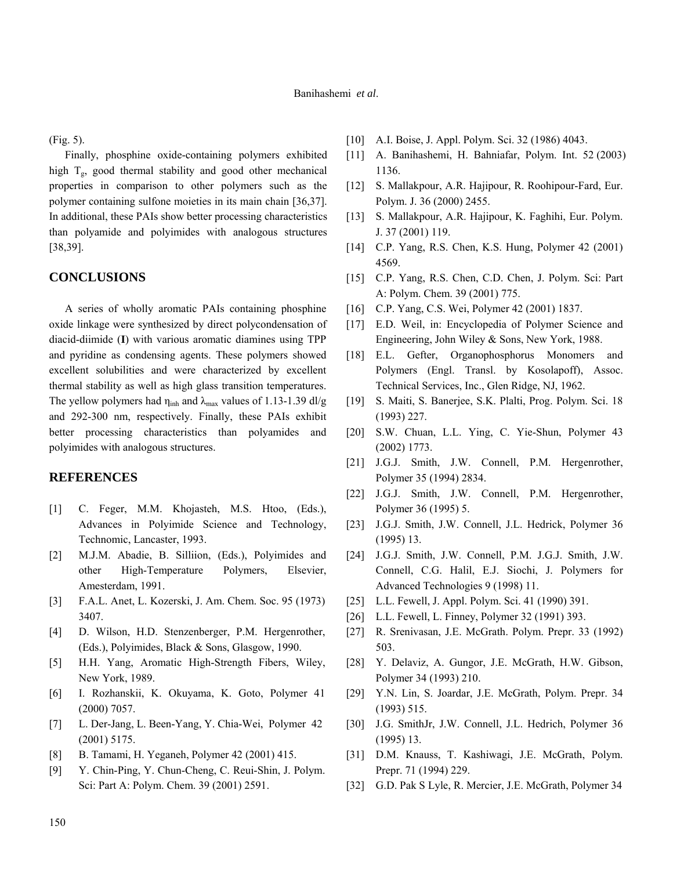(Fig. 5).

 Finally, phosphine oxide-containing polymers exhibited high  $T_g$ , good thermal stability and good other mechanical properties in comparison to other polymers such as the polymer containing sulfone moieties in its main chain [36,37]. In additional, these PAIs show better processing characteristics than polyamide and polyimides with analogous structures [38,39].

## **CONCLUSIONS**

 A series of wholly aromatic PAIs containing phosphine oxide linkage were synthesized by direct polycondensation of diacid-diimide (**I**) with various aromatic diamines using TPP and pyridine as condensing agents. These polymers showed excellent solubilities and were characterized by excellent thermal stability as well as high glass transition temperatures. The yellow polymers had  $\eta_{inh}$  and  $\lambda_{max}$  values of 1.13-1.39 dl/g and 292-300 nm, respectively. Finally, these PAIs exhibit better processing characteristics than polyamides and polyimides with analogous structures.

## **REFERENCES**

- [1] C. Feger, M.M. Khojasteh, M.S. Htoo, (Eds.), Advances in Polyimide Science and Technology, Technomic, Lancaster, 1993.
- [2] M.J.M. Abadie, B. Silliion, (Eds.), Polyimides and other High-Temperature Polymers, Elsevier, Amesterdam, 1991.
- [3] F.A.L. Anet, L. Kozerski, J. Am. Chem. Soc. 95 (1973) 3407.
- [4] D. Wilson, H.D. Stenzenberger, P.M. Hergenrother, (Eds.), Polyimides, Black & Sons, Glasgow, 1990.
- [5] H.H. Yang, Aromatic High-Strength Fibers, Wiley, New York, 1989.
- [6] I. Rozhanskii, K. Okuyama, K. Goto, Polymer 41 (2000) 7057.
- [7] L. Der-Jang, L. Been-Yang, Y. Chia-Wei, Polymer 42 (2001) 5175.
- [8] B. Tamami, H. Yeganeh, Polymer 42 (2001) 415.
- [9] Y. Chin-Ping, Y. Chun-Cheng, C. Reui-Shin, J. Polym. Sci: Part A: Polym. Chem. 39 (2001) 2591.
- [10] A.I. Boise, J. Appl. Polym. Sci. 32 (1986) 4043.
- [11] A. Banihashemi, H. Bahniafar, Polym. Int. 52 (2003) 1136.
- [12] S. Mallakpour, A.R. Hajipour, R. Roohipour-Fard, Eur. Polym. J. 36 (2000) 2455.
- [13] S. Mallakpour, A.R. Hajipour, K. Faghihi, Eur. Polym. J. 37 (2001) 119.
- [14] C.P. Yang, R.S. Chen, K.S. Hung, Polymer 42 (2001) 4569.
- [15] C.P. Yang, R.S. Chen, C.D. Chen, J. Polym. Sci: Part A: Polym. Chem. 39 (2001) 775.
- [16] C.P. Yang, C.S. Wei, Polymer 42 (2001) 1837.
- [17] E.D. Weil, in: Encyclopedia of Polymer Science and Engineering, John Wiley & Sons, New York, 1988.
- [18] E.L. Gefter, Organophosphorus Monomers and Polymers (Engl. Transl. by Kosolapoff), Assoc. Technical Services, Inc., Glen Ridge, NJ, 1962.
- [19] S. Maiti, S. Banerjee, S.K. Plalti, Prog. Polym. Sci. 18 (1993) 227.
- [20] S.W. Chuan, L.L. Ying, C. Yie-Shun, Polymer 43 (2002) 1773.
- [21] J.G.J. Smith, J.W. Connell, P.M. Hergenrother, Polymer 35 (1994) 2834.
- [22] J.G.J. Smith, J.W. Connell, P.M. Hergenrother, Polymer 36 (1995) 5.
- [23] J.G.J. Smith, J.W. Connell, J.L. Hedrick, Polymer 36 (1995) 13.
- [24] J.G.J. Smith, J.W. Connell, P.M. J.G.J. Smith, J.W. Connell, C.G. Halil, E.J. Siochi, J. Polymers for Advanced Technologies 9 (1998) 11.
- [25] L.L. Fewell, J. Appl. Polym. Sci. 41 (1990) 391.
- [26] L.L. Fewell, L. Finney, Polymer 32 (1991) 393.
- [27] R. Srenivasan, J.E. McGrath. Polym. Prepr. 33 (1992) 503.
- [28] Y. Delaviz, A. Gungor, J.E. McGrath, H.W. Gibson, Polymer 34 (1993) 210.
- [29] Y.N. Lin, S. Joardar, J.E. McGrath, Polym. Prepr. 34 (1993) 515.
- [30] J.G. SmithJr, J.W. Connell, J.L. Hedrich, Polymer 36 (1995) 13.
- [31] D.M. Knauss, T. Kashiwagi, J.E. McGrath, Polym. Prepr. 71 (1994) 229.
- [32] G.D. Pak S Lyle, R. Mercier, J.E. McGrath, Polymer 34